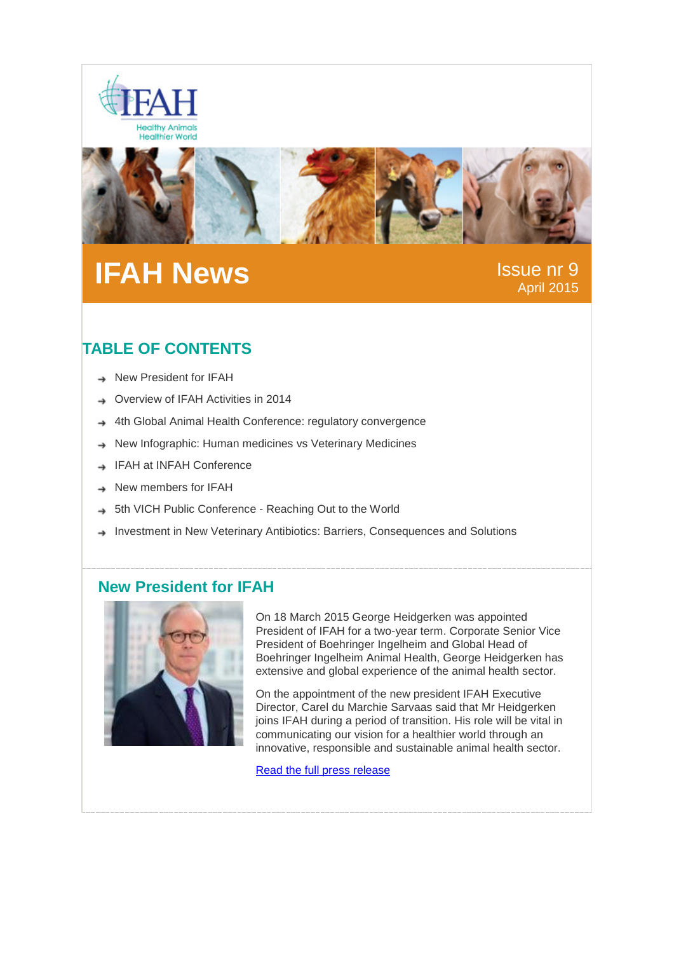



# **IFAH News** Issue nr 9

April 2015

## **TABLE OF CONTENTS**

- → New President for IFAH
- Overview of IFAH Activities in 2014
- 4th Global Animal Health Conference: regulatory convergence
- New Infographic: Human medicines vs Veterinary Medicines →
- IFAH at INFAH Conference
- New members for IFAH
- 5th VICH Public Conference Reaching Out to the World
- Investment in New Veterinary Antibiotics: Barriers, Consequences and Solutions

#### **New President for IFAH**



On 18 March 2015 George Heidgerken was appointed President of IFAH for a two-year term. Corporate Senior Vice President of Boehringer Ingelheim and Global Head of Boehringer Ingelheim Animal Health, George Heidgerken has extensive and global experience of the animal health sector.

On the appointment of the new president IFAH Executive Director, Carel du Marchie Sarvaas said that Mr Heidgerken joins IFAH during a period of transition. His role will be vital in communicating our vision for a healthier world through an innovative, responsible and sustainable animal health sector.

[Read the full press release](http://www.ifahsec.org/george-heidgerken-appointed-president-of-ifah/)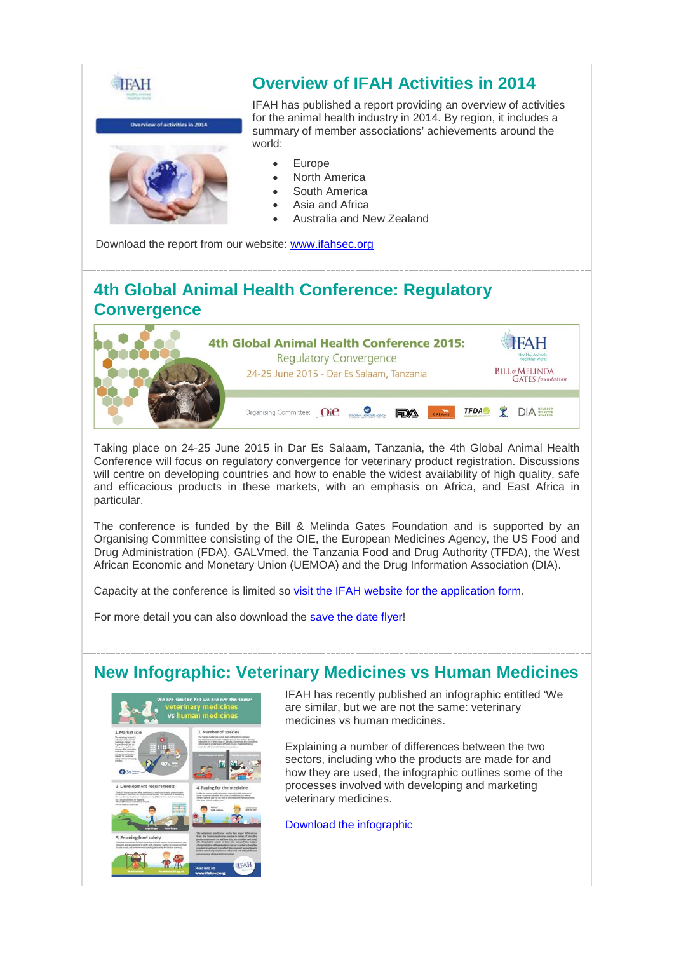



IFAH has published a report providing an overview of activities for the animal health industry in 2014. By region, it includes a summary of member associations' achievements around the world:

- **Europe**
- North America
- South America
- Asia and Africa
- Australia and New Zealand

Download the report from our website: [www.ifahsec.org](http://www.ifahsec.org/overview-of-activities-in-2014-summary-of-animal-health-associations-achievements-around-the-world/)

## **4th Global Animal Health Conference: Regulatory Convergence**



Taking place on 24-25 June 2015 in Dar Es Salaam, Tanzania, the 4th Global Animal Health Conference will focus on regulatory convergence for veterinary product registration. Discussions will centre on developing countries and how to enable the widest availability of high quality, safe and efficacious products in these markets, with an emphasis on Africa, and East Africa in particular.

The conference is funded by the Bill & Melinda Gates Foundation and is supported by an Organising Committee consisting of the OIE, the European Medicines Agency, the US Food and Drug Administration (FDA), GALVmed, the Tanzania Food and Drug Authority (TFDA), the West African Economic and Monetary Union (UEMOA) and the Drug Information Association (DIA).

Capacity at the conference is limited so [visit the IFAH website for the application form.](http://www.ifahsec.org/4th-global-animal-health-conference-regulatory-convergence/)

For more detail you can also download the [save the date flyer!](http://www.ifahsec.org/wp-content/uploads/2015/02/4GAHCflyer.pdf)

### **New Infographic: Veterinary Medicines vs Human Medicines**



IFAH has recently published an infographic entitled 'We are similar, but we are not the same: veterinary medicines vs human medicines.

Explaining a number of differences between the two sectors, including who the products are made for and how they are used, the infographic outlines some of the processes involved with developing and marketing veterinary medicines.

[Download the infographic](http://www.ifahsec.org/infographic-veterinary-medicines-vs-human-medicines/)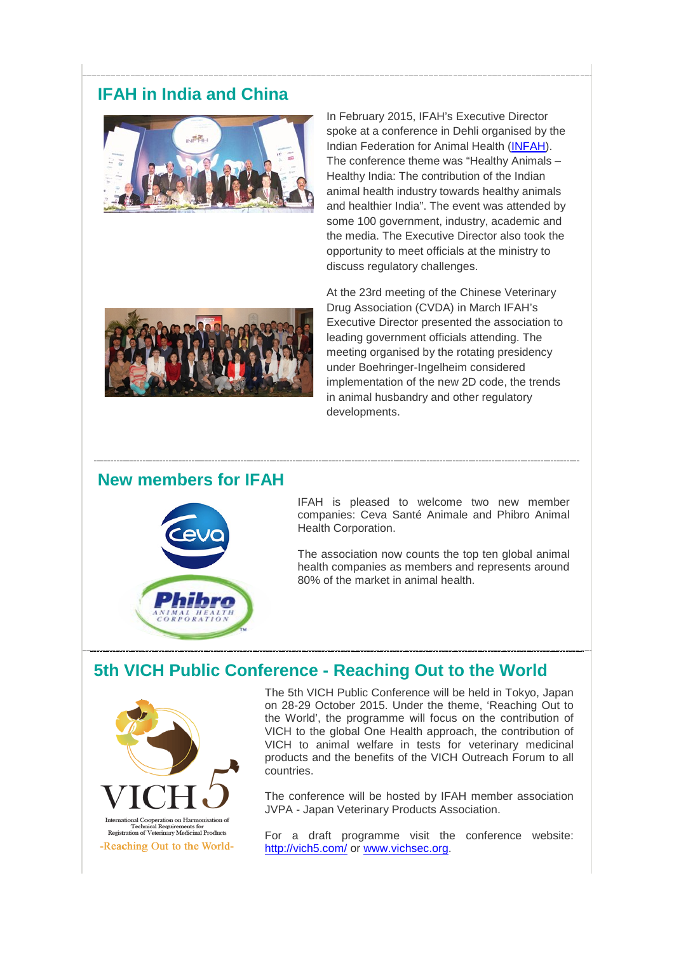### **IFAH in India and China**



In February 2015, IFAH's Executive Director spoke at a conference in Dehli organised by the Indian Federation for Animal Health [\(INFAH\)](http://www.infah.org/). The conference theme was "Healthy Animals – Healthy India: The contribution of the Indian animal health industry towards healthy animals and healthier India". The event was attended by some 100 government, industry, academic and the media. The Executive Director also took the opportunity to meet officials at the ministry to discuss regulatory challenges.



At the 23rd meeting of the Chinese Veterinary Drug Association (CVDA) in March IFAH's Executive Director presented the association to leading government officials attending. The meeting organised by the rotating presidency under Boehringer-Ingelheim considered implementation of the new 2D code, the trends in animal husbandry and other regulatory developments.

#### **New members for IFAH**



IFAH is pleased to welcome two new member companies: Ceva Santé Animale and Phibro Animal Health Corporation.

The association now counts the top ten global animal health companies as members and represents around 80% of the market in animal health.

## **5th VICH Public Conference - Reaching Out to the World**



The 5th VICH Public Conference will be held in Tokyo, Japan on 28-29 October 2015. Under the theme, 'Reaching Out to the World', the programme will focus on the contribution of VICH to the global One Health approach, the contribution of VICH to animal welfare in tests for veterinary medicinal products and the benefits of the VICH Outreach Forum to all countries.

The conference will be hosted by IFAH member association JVPA - Japan Veterinary Products Association.

For a draft programme visit the conference website: <http://vich5.com/> or [www.vichsec.org.](http://www.vichsec.org/)